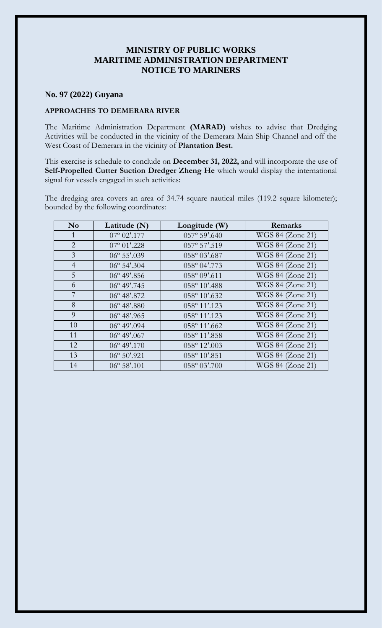## **MINISTRY OF PUBLIC WORKS MARITIME ADMINISTRATION DEPARTMENT NOTICE TO MARINERS**

## **No. 97 (2022) Guyana**

## **APPROACHES TO DEMERARA RIVER**

The Maritime Administration Department **(MARAD)** wishes to advise that Dredging Activities will be conducted in the vicinity of the Demerara Main Ship Channel and off the West Coast of Demerara in the vicinity of **Plantation Best.**

This exercise is schedule to conclude on **December 31, 2022,** and will incorporate the use of **Self-Propelled Cutter Suction Dredger Zheng He** which would display the international signal for vessels engaged in such activities:

The dredging area covers an area of 34.74 square nautical miles (119.2 square kilometer); bounded by the following coordinates:

| N <sub>0</sub> | Latitude (N)          | Longitude (W)          | Remarks          |
|----------------|-----------------------|------------------------|------------------|
| 1              | $07^{\circ}$ 02'.177  | $057^{\circ}$ 59'.640  | WGS 84 (Zone 21) |
| $\overline{2}$ | $07^{\circ} 01'$ .228 | 057° 57'.519           | WGS 84 (Zone 21) |
| $\overline{3}$ | $06^{\circ} 55'$ .039 | 058° 03'.687           | WGS 84 (Zone 21) |
| $\overline{4}$ | $06^{\circ}$ 54'.304  | 058° 04'.773           | WGS 84 (Zone 21) |
| 5              | $06^{\circ}$ 49'.856  | 058° 09'.611           | WGS 84 (Zone 21) |
| 6              | $06^{\circ}$ 49'.745  | 058° 10'.488           | WGS 84 (Zone 21) |
| 7              | $06^{\circ}$ 48'.872  | 058° 10'.632           | WGS 84 (Zone 21) |
| 8              | $06^{\circ}$ 48'.880  | 058° 11'.123           | WGS 84 (Zone 21) |
| $\overline{Q}$ | $06^{\circ}$ 48'.965  | 058° 11'.123           | WGS 84 (Zone 21) |
| 10             | $06^{\circ}$ 49'.094  | 058° 11'.662           | WGS 84 (Zone 21) |
| 11             | $06^{\circ}$ 49'.067  | 058° 11'.858           | WGS 84 (Zone 21) |
| 12             | $06^{\circ}$ 49'.170  | 058° 12'.003           | WGS 84 (Zone 21) |
| 13             | $06^{\circ} 50'$ .921 | 058° 10'.851           | WGS 84 (Zone 21) |
| 14             | $06^{\circ} 58'$ .101 | $058^{\circ} 03'$ .700 | WGS 84 (Zone 21) |